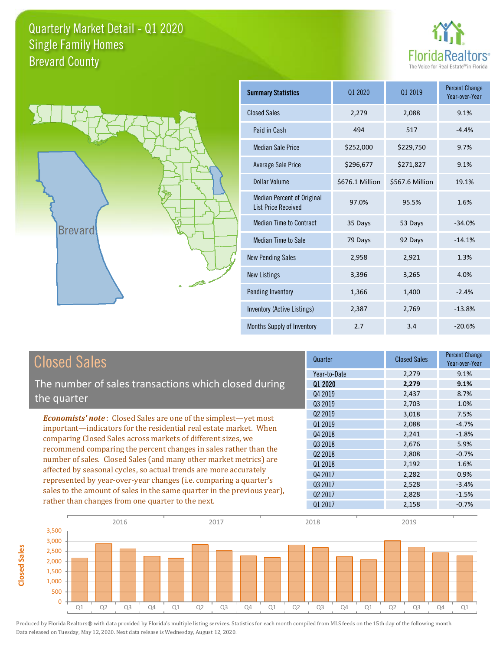



**Closed Sales**

**Closed Sales** 

| <b>Summary Statistics</b>                                       | 01 2020         | 01 2019         | <b>Percent Change</b><br>Year-over-Year |
|-----------------------------------------------------------------|-----------------|-----------------|-----------------------------------------|
| <b>Closed Sales</b>                                             | 2,279           | 2,088           | 9.1%                                    |
| Paid in Cash                                                    | 494             | 517             | $-4.4%$                                 |
| <b>Median Sale Price</b>                                        | \$252,000       | \$229,750       | 9.7%                                    |
| Average Sale Price                                              | \$296,677       | \$271,827       | 9.1%                                    |
| Dollar Volume                                                   | \$676.1 Million | \$567.6 Million | 19.1%                                   |
| <b>Median Percent of Original</b><br><b>List Price Received</b> | 97.0%           | 95.5%           | 1.6%                                    |
| <b>Median Time to Contract</b>                                  | 35 Days         | 53 Days         | $-34.0%$                                |
| Median Time to Sale                                             | 79 Days         | 92 Days         | $-14.1%$                                |
| <b>New Pending Sales</b>                                        | 2,958           | 2,921           | 1.3%                                    |
| <b>New Listings</b>                                             | 3,396           | 3,265           | 4.0%                                    |
| Pending Inventory                                               | 1,366           | 1,400           | $-2.4%$                                 |
| Inventory (Active Listings)                                     | 2,387           | 2,769           | $-13.8%$                                |
| Months Supply of Inventory                                      | 2.7             | 3.4             | $-20.6%$                                |

| <b>Closed Sales</b>                                                                                                                                                                                                                                                                                                                                                                                                  | Quarter             | <b>Closed Sales</b> | <b>Percent Change</b><br>Year-over-Year |
|----------------------------------------------------------------------------------------------------------------------------------------------------------------------------------------------------------------------------------------------------------------------------------------------------------------------------------------------------------------------------------------------------------------------|---------------------|---------------------|-----------------------------------------|
|                                                                                                                                                                                                                                                                                                                                                                                                                      | Year-to-Date        | 2,279               | 9.1%                                    |
| The number of sales transactions which closed during                                                                                                                                                                                                                                                                                                                                                                 | 01 2020             | 2,279               | 9.1%                                    |
| the quarter                                                                                                                                                                                                                                                                                                                                                                                                          | Q4 2019             | 2,437               | 8.7%                                    |
|                                                                                                                                                                                                                                                                                                                                                                                                                      | 03 2019             | 2,703               | 1.0%                                    |
| <b>Economists' note:</b> Closed Sales are one of the simplest—yet most                                                                                                                                                                                                                                                                                                                                               | Q <sub>2</sub> 2019 | 3,018               | 7.5%                                    |
| important—indicators for the residential real estate market. When<br>comparing Closed Sales across markets of different sizes, we<br>recommend comparing the percent changes in sales rather than the<br>number of sales. Closed Sales (and many other market metrics) are<br>affected by seasonal cycles, so actual trends are more accurately<br>represented by year-over-year changes (i.e. comparing a quarter's | Q1 2019             | 2,088               | $-4.7%$                                 |
|                                                                                                                                                                                                                                                                                                                                                                                                                      | Q4 2018             | 2,241               | $-1.8%$                                 |
|                                                                                                                                                                                                                                                                                                                                                                                                                      | Q3 2018             | 2,676               | 5.9%                                    |
|                                                                                                                                                                                                                                                                                                                                                                                                                      | 02 2018             | 2,808               | $-0.7%$                                 |
|                                                                                                                                                                                                                                                                                                                                                                                                                      | 01 2018             | 2,192               | 1.6%                                    |
|                                                                                                                                                                                                                                                                                                                                                                                                                      | Q4 2017             | 2,282               | 0.9%                                    |
|                                                                                                                                                                                                                                                                                                                                                                                                                      | 03 2017             | 2,528               | $-3.4%$                                 |
| sales to the amount of sales in the same quarter in the previous year),                                                                                                                                                                                                                                                                                                                                              | 02 2017             | 2,828               | $-1.5%$                                 |
| rather than changes from one quarter to the next.                                                                                                                                                                                                                                                                                                                                                                    | 01 2017             | 2,158               | $-0.7%$                                 |

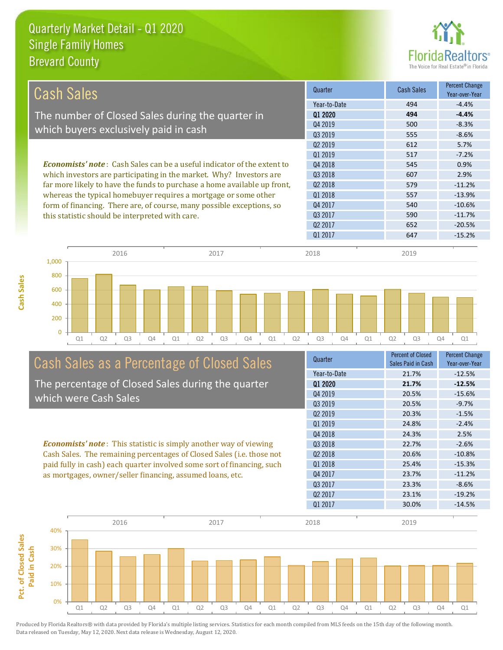

| <b>Cash Sales</b> |                                                 | Quarter                                                                        | <b>Cash Sales</b>   | <b>Percent Change</b><br>Year-over-Year |          |
|-------------------|-------------------------------------------------|--------------------------------------------------------------------------------|---------------------|-----------------------------------------|----------|
|                   |                                                 |                                                                                | Year-to-Date        | 494                                     | $-4.4%$  |
|                   |                                                 | The number of Closed Sales during the quarter in                               | 01 2020             | 494                                     | $-4.4%$  |
|                   | which buyers exclusively paid in cash           |                                                                                | Q4 2019             | 500                                     | $-8.3%$  |
|                   |                                                 |                                                                                | 03 2019             | 555                                     | $-8.6%$  |
|                   |                                                 |                                                                                | 02 2019             | 612                                     | 5.7%     |
|                   |                                                 |                                                                                | Q1 2019             | 517                                     | $-7.2%$  |
|                   |                                                 | <b>Economists' note:</b> Cash Sales can be a useful indicator of the extent to | Q4 2018             | 545                                     | 0.9%     |
|                   |                                                 | which investors are participating in the market. Why? Investors are            | 03 2018             | 607                                     | 2.9%     |
|                   |                                                 | far more likely to have the funds to purchase a home available up front,       | 02 2018             | 579                                     | $-11.2%$ |
|                   |                                                 | whereas the typical homebuyer requires a mortgage or some other                | Q1 2018             | 557                                     | $-13.9%$ |
|                   |                                                 | form of financing. There are, of course, many possible exceptions, so          | Q4 2017             | 540                                     | $-10.6%$ |
|                   | this statistic should be interpreted with care. |                                                                                | Q3 2017             | 590                                     | $-11.7%$ |
|                   |                                                 |                                                                                | Q <sub>2</sub> 2017 | 652                                     | $-20.5%$ |
|                   |                                                 |                                                                                | Q1 2017             | 647                                     | $-15.2%$ |
|                   |                                                 |                                                                                |                     |                                         |          |
|                   | 2016                                            | 2017                                                                           | 2018                | 2019                                    |          |
| 1,000             |                                                 |                                                                                |                     |                                         |          |
| 800               |                                                 |                                                                                |                     |                                         |          |



*Economists' note* : This statistic is simply another way of viewing Cash Sales. The remaining percentages of Closed Sales (i.e. those not paid fully in cash) each quarter involved some sort of financing, such as mortgages, owner/seller financing, assumed loans, etc.





Produced by Florida Realtors® with data provided by Florida's multiple listing services. Statistics for each month compiled from MLS feeds on the 15th day of the following month. Data released on Tuesday, May 12, 2020. Next data release is Wednesday, August 12, 2020.

which were Cash Sales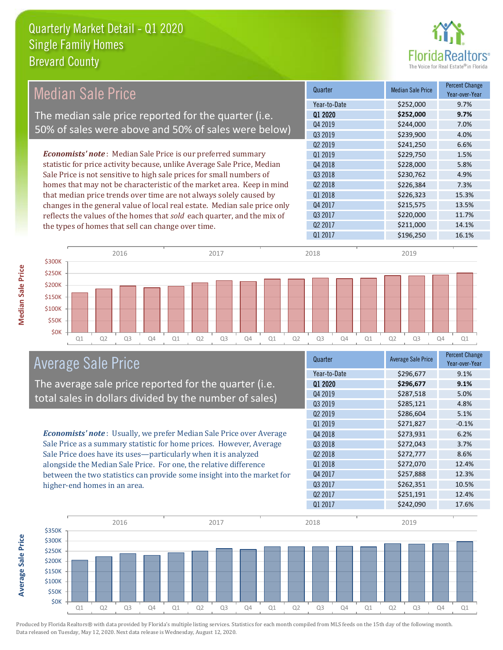

| <b>Median Sale Price</b>                                                  |                                                                         |      | Quarter             | <b>Median Sale Price</b> | <b>Percent Change</b><br>Year-over-Year |       |
|---------------------------------------------------------------------------|-------------------------------------------------------------------------|------|---------------------|--------------------------|-----------------------------------------|-------|
|                                                                           |                                                                         |      | Year-to-Date        | \$252,000                | 9.7%                                    |       |
|                                                                           | The median sale price reported for the quarter (i.e.                    |      |                     | Q1 2020                  | \$252,000                               | 9.7%  |
|                                                                           | 50% of sales were above and 50% of sales were below)                    |      |                     | Q4 2019                  | \$244,000                               | 7.0%  |
|                                                                           |                                                                         |      |                     | Q3 2019                  | \$239,900                               | 4.0%  |
|                                                                           |                                                                         |      |                     | Q <sub>2</sub> 2019      | \$241,250                               | 6.6%  |
|                                                                           | <b>Economists' note</b> : Median Sale Price is our preferred summary    |      |                     | Q1 2019                  | \$229,750                               | 1.5%  |
|                                                                           | statistic for price activity because, unlike Average Sale Price, Median |      |                     | Q4 2018                  | \$228,000                               | 5.8%  |
|                                                                           | Sale Price is not sensitive to high sale prices for small numbers of    |      |                     | Q3 2018                  | \$230,762                               | 4.9%  |
| homes that may not be characteristic of the market area. Keep in mind     |                                                                         |      | Q <sub>2</sub> 2018 | \$226,384                | 7.3%                                    |       |
| that median price trends over time are not always solely caused by        |                                                                         |      | Q1 2018             | \$226,323                | 15.3%                                   |       |
| changes in the general value of local real estate. Median sale price only |                                                                         |      | Q4 2017             | \$215,575                | 13.5%                                   |       |
|                                                                           | reflects the values of the homes that sold each quarter, and the mix of |      |                     | Q3 2017                  | \$220,000                               | 11.7% |
|                                                                           | the types of homes that sell can change over time.                      |      |                     | Q <sub>2</sub> 2017      | \$211,000                               | 14.1% |
|                                                                           |                                                                         |      |                     | Q1 2017                  | \$196,250                               | 16.1% |
|                                                                           | 2016                                                                    | 2017 |                     | 2018                     | 2019                                    |       |
| \$300K                                                                    |                                                                         |      |                     |                          |                                         |       |
| \$250K                                                                    |                                                                         |      |                     |                          |                                         |       |
| \$200K                                                                    |                                                                         |      |                     |                          |                                         |       |

Q1 Q2 Q3 Q4 Q1 Q2 Q3 Q4 Q1 Q2 Q3 Q4 Q1 Q2 Q3 Q4 Q1

Average Sale Price

The average sale price reported for the quarter (i.e. total sales in dollars divided by the number of sales)

*Economists' note* : Usually, we prefer Median Sale Price over Average Sale Price as a summary statistic for home prices. However, Average Sale Price does have its uses—particularly when it is analyzed alongside the Median Sale Price. For one, the relative difference between the two statistics can provide some insight into the market for higher-end homes in an area.

| Quarter             | <b>Average Sale Price</b> | <b>Percent Change</b><br>Year-over-Year |
|---------------------|---------------------------|-----------------------------------------|
| Year-to-Date        | \$296,677                 | 9.1%                                    |
| 01 2020             | \$296,677                 | 9.1%                                    |
| Q4 2019             | \$287,518                 | 5.0%                                    |
| Q3 2019             | \$285,121                 | 4.8%                                    |
| Q <sub>2</sub> 2019 | \$286,604                 | 5.1%                                    |
| Q1 2019             | \$271,827                 | $-0.1%$                                 |
| Q4 2018             | \$273,931                 | 6.2%                                    |
| Q3 2018             | \$272,043                 | 3.7%                                    |
| Q2 2018             | \$272,777                 | 8.6%                                    |
| Q1 2018             | \$272,070                 | 12.4%                                   |
| Q4 2017             | \$257,888                 | 12.3%                                   |
| Q3 2017             | \$262,351                 | 10.5%                                   |
| Q <sub>2</sub> 2017 | \$251,191                 | 12.4%                                   |
| Q1 2017             | \$242,090                 | 17.6%                                   |



Median Sale Price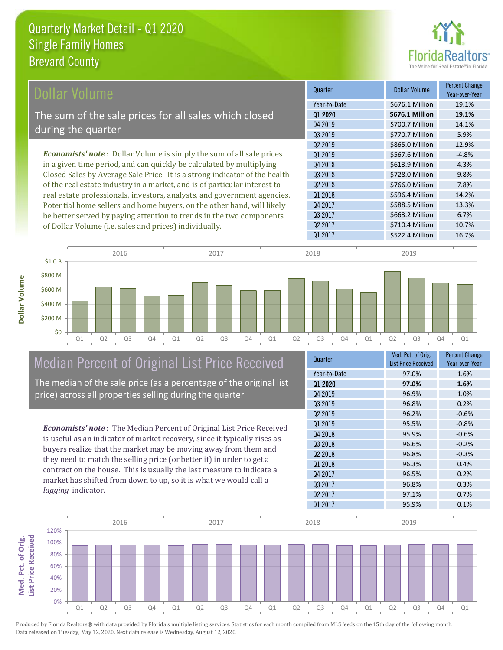

| Dollar Volume                                                               | Quarter             | <b>Dollar Volume</b> | <b>Percent Change</b><br>Year-over-Year |
|-----------------------------------------------------------------------------|---------------------|----------------------|-----------------------------------------|
|                                                                             | Year-to-Date        | \$676.1 Million      | 19.1%                                   |
| The sum of the sale prices for all sales which closed                       | 01 2020             | \$676.1 Million      | 19.1%                                   |
|                                                                             | Q4 2019             | \$700.7 Million      | 14.1%                                   |
| during the quarter                                                          | Q3 2019             | \$770.7 Million      | 5.9%                                    |
|                                                                             | Q <sub>2</sub> 2019 | \$865.0 Million      | 12.9%                                   |
| <b>Economists' note:</b> Dollar Volume is simply the sum of all sale prices | 01 2019             | \$567.6 Million      | $-4.8%$                                 |
| in a given time period, and can quickly be calculated by multiplying        | Q4 2018             | \$613.9 Million      | 4.3%                                    |
| Closed Sales by Average Sale Price. It is a strong indicator of the health  | Q3 2018             | \$728.0 Million      | 9.8%                                    |
| of the real estate industry in a market, and is of particular interest to   | Q <sub>2</sub> 2018 | \$766.0 Million      | 7.8%                                    |
| real estate professionals, investors, analysts, and government agencies.    | 01 2018             | \$596.4 Million      | 14.2%                                   |
| Potential home sellers and home buyers, on the other hand, will likely      | Q4 2017             | \$588.5 Million      | 13.3%                                   |
| be better served by paying attention to trends in the two components        | Q3 2017             | \$663.2 Million      | 6.7%                                    |
| of Dollar Volume (i.e. sales and prices) individually.                      | Q <sub>2</sub> 2017 | \$710.4 Million      | 10.7%                                   |



## Median Percent of Original List Price Received

The median of the sale price (as a percentage of the original list price) across all properties selling during the quarter

*Economists' note* : The Median Percent of Original List Price Received is useful as an indicator of market recovery, since it typically rises as buyers realize that the market may be moving away from them and they need to match the selling price (or better it) in order to get a contract on the house. This is usually the last measure to indicate a market has shifted from down to up, so it is what we would call a *lagging* indicator.

| Quarter             | Med. Pct. of Orig.<br><b>List Price Received</b> | <b>Percent Change</b><br>Year-over-Year |
|---------------------|--------------------------------------------------|-----------------------------------------|
| Year-to-Date        | 97.0%                                            | 1.6%                                    |
| Q1 2020             | 97.0%                                            | 1.6%                                    |
| Q4 2019             | 96.9%                                            | 1.0%                                    |
| 03 2019             | 96.8%                                            | 0.2%                                    |
| Q <sub>2</sub> 2019 | 96.2%                                            | $-0.6%$                                 |
| Q1 2019             | 95.5%                                            | $-0.8%$                                 |
| Q4 2018             | 95.9%                                            | $-0.6%$                                 |
| 03 2018             | 96.6%                                            | $-0.2%$                                 |
| 02 2018             | 96.8%                                            | $-0.3%$                                 |
| Q1 2018             | 96.3%                                            | 0.4%                                    |
| Q4 2017             | 96.5%                                            | 0.2%                                    |
| Q3 2017             | 96.8%                                            | 0.3%                                    |
| Q <sub>2</sub> 2017 | 97.1%                                            | 0.7%                                    |
| Q1 2017             | 95.9%                                            | 0.1%                                    |

Q1 2017 **\$522.4 Million** 16.7%

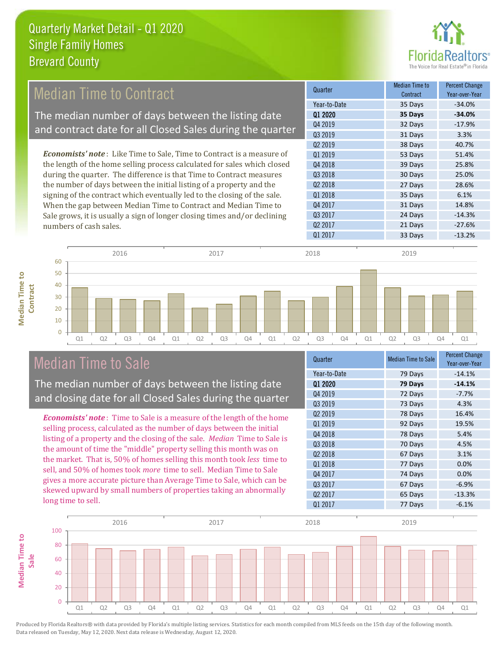

#### *Economists' note* : Like Time to Sale, Time to Contract is a measure of the length of the home selling process calculated for sales which closed during the quarter. The difference is that Time to Contract measures Q1 2019 **53 Days** 51.4% Q4 2018 39 Days 25.8% Q3 2018 25.0% **Quarter Median Time to All According to All According Median Time to All According to All According to All According to All According to All According to All According to All According to All According to All According to Contract** Percent Change Q1 2020 **35 Days -34.0%** Year-to-Date 35 Days -34.0% Q4 2019 **32 Days** -17.9% Q3 2019 31 Days 3.3% Q2 2019 **38 Days** 38 Days 40.7% Median Time to Contract The median number of days between the listing date and contract date for all Closed Sales during the quarter

the number of days between the initial listing of a property and the signing of the contract which eventually led to the closing of the sale. When the gap between Median Time to Contract and Median Time to Sale grows, it is usually a sign of longer closing times and/or declining numbers of cash sales.







### Median Time to Sale

The median number of days between the listing date and closing date for all Closed Sales during the quarter

*Economists' note* : Time to Sale is a measure of the length of the home selling process, calculated as the number of days between the initial listing of a property and the closing of the sale. *Median* Time to Sale is the amount of time the "middle" property selling this month was on the market. That is, 50% of homes selling this month took *less* time to sell, and 50% of homes took *more* time to sell. Median Time to Sale gives a more accurate picture than Average Time to Sale, which can be skewed upward by small numbers of properties taking an abnormally long time to sell.

| Quarter             | <b>Median Time to Sale</b> | <b>Percent Change</b><br>Year-over-Year |
|---------------------|----------------------------|-----------------------------------------|
| Year-to-Date        | 79 Days                    | $-14.1%$                                |
| Q1 2020             | 79 Days                    | $-14.1%$                                |
| Q4 2019             | 72 Days                    | $-7.7%$                                 |
| Q3 2019             | 73 Days                    | 4.3%                                    |
| Q <sub>2</sub> 2019 | 78 Days                    | 16.4%                                   |
| Q1 2019             | 92 Days                    | 19.5%                                   |
| Q4 2018             | 78 Days                    | 5.4%                                    |
| Q3 2018             | 70 Days                    | 4.5%                                    |
| 02 2018             | 67 Days                    | 3.1%                                    |
| Q1 2018             | 77 Days                    | 0.0%                                    |
| Q4 2017             | 74 Days                    | 0.0%                                    |
| Q3 2017             | 67 Days                    | $-6.9%$                                 |
| Q <sub>2</sub> 2017 | 65 Days                    | $-13.3%$                                |
| Q1 2017             | 77 Days                    | $-6.1%$                                 |

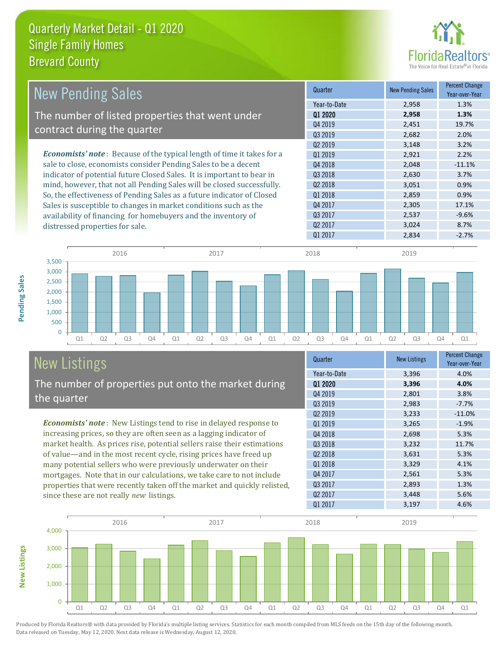

| <b>New Pending Sales</b>                                                      | Quarter             | <b>New Pending Sales</b> | <b>Percent Change</b><br>Year-over-Year |
|-------------------------------------------------------------------------------|---------------------|--------------------------|-----------------------------------------|
|                                                                               | Year-to-Date        | 2,958                    | 1.3%                                    |
| The number of listed properties that went under                               | 01 2020             | 2,958                    | 1.3%                                    |
|                                                                               | Q4 2019             | 2,451                    | 19.7%                                   |
| contract during the quarter                                                   | Q3 2019             | 2,682                    | 2.0%                                    |
|                                                                               | Q <sub>2</sub> 2019 | 3,148                    | 3.2%                                    |
| <b>Economists' note:</b> Because of the typical length of time it takes for a | 01 2019             | 2,921                    | 2.2%                                    |
| sale to close, economists consider Pending Sales to be a decent               | Q4 2018             | 2,048                    | $-11.1%$                                |
| indicator of potential future Closed Sales. It is important to bear in        | Q3 2018             | 2,630                    | 3.7%                                    |
| mind, however, that not all Pending Sales will be closed successfully.        | 02 2018             | 3,051                    | 0.9%                                    |
| So, the effectiveness of Pending Sales as a future indicator of Closed        | Q1 2018             | 2,859                    | 0.9%                                    |
| Sales is susceptible to changes in market conditions such as the              | Q4 2017             | 2,305                    | 17.1%                                   |
| availability of financing for homebuyers and the inventory of                 | 03 2017             | 2,537                    | $-9.6%$                                 |
| distressed properties for sale.                                               | Q <sub>2</sub> 2017 | 3,024                    | 8.7%                                    |
|                                                                               | Q1 2017             | 2,834                    | $-2.7%$                                 |



## New Listings

The number of properties put onto the market during the quarter

*Economists' note* : New Listings tend to rise in delayed response to increasing prices, so they are often seen as a lagging indicator of market health. As prices rise, potential sellers raise their estimations of value—and in the most recent cycle, rising prices have freed up many potential sellers who were previously underwater on their mortgages. Note that in our calculations, we take care to not include properties that were recently taken off the market and quickly relisted, since these are not really *new* listings.

| Quarter             | <b>New Listings</b> | <b>Percent Change</b><br>Year-over-Year |
|---------------------|---------------------|-----------------------------------------|
| Year-to-Date        | 3,396               | 4.0%                                    |
| Q1 2020             | 3,396               | 4.0%                                    |
| Q4 2019             | 2,801               | 3.8%                                    |
| Q3 2019             | 2,983               | $-7.7%$                                 |
| Q2 2019             | 3,233               | $-11.0%$                                |
| Q1 2019             | 3,265               | $-1.9%$                                 |
| Q4 2018             | 2,698               | 5.3%                                    |
| Q3 2018             | 3,232               | 11.7%                                   |
| 02 2018             | 3,631               | 5.3%                                    |
| Q1 2018             | 3,329               | 4.1%                                    |
| Q4 2017             | 2,561               | 5.3%                                    |
| Q3 2017             | 2,893               | 1.3%                                    |
| Q <sub>2</sub> 2017 | 3,448               | 5.6%                                    |
| Q1 2017             | 3,197               | 4.6%                                    |



**New Listings**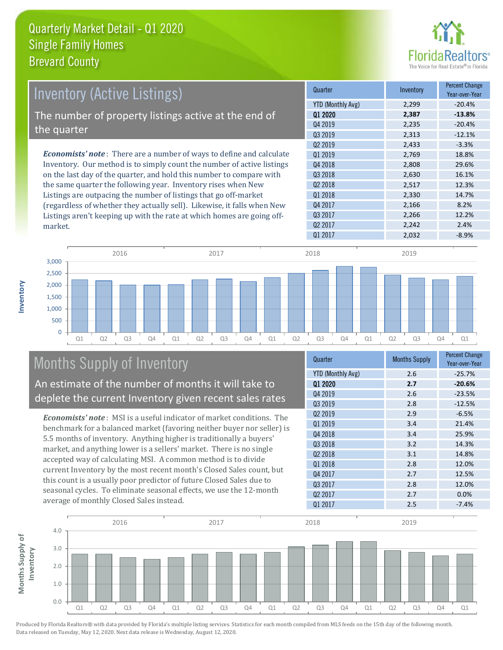

| <b>Inventory (Active Listings)</b>                                          | Quarter           | Inventory | <b>Percent Change</b><br>Year-over-Year |
|-----------------------------------------------------------------------------|-------------------|-----------|-----------------------------------------|
|                                                                             | YTD (Monthly Avg) | 2,299     | $-20.4%$                                |
| The number of property listings active at the end of                        | 01 2020           | 2,387     | $-13.8%$                                |
| the quarter                                                                 | 04 2019           | 2,235     | $-20.4%$                                |
|                                                                             | Q3 2019           | 2,313     | $-12.1%$                                |
|                                                                             | 02 2019           | 2,433     | $-3.3%$                                 |
| <b>Economists' note:</b> There are a number of ways to define and calculate | 01 2019           | 2,769     | 18.8%                                   |
| Inventory. Our method is to simply count the number of active listings      | Q4 2018           | 2,808     | 29.6%                                   |
| on the last day of the quarter, and hold this number to compare with        | Q3 2018           | 2,630     | 16.1%                                   |
| the same quarter the following year. Inventory rises when New               | 02 2018           | 2,517     | 12.3%                                   |
| Listings are outpacing the number of listings that go off-market            | 01 2018           | 2,330     | 14.7%                                   |
| (regardless of whether they actually sell). Likewise, it falls when New     | Q4 2017           | 2,166     | 8.2%                                    |
| Listings aren't keeping up with the rate at which homes are going off-      | 03 2017           | 2,266     | 12.2%                                   |



## Months Supply of Inventory

An estimate of the number of months it will take to deplete the current Inventory given recent sales rates

*Economists' note* : MSI is a useful indicator of market conditions. The benchmark for a balanced market (favoring neither buyer nor seller) is 5.5 months of inventory. Anything higher is traditionally a buyers' market, and anything lower is a sellers' market. There is no single accepted way of calculating MSI. A common method is to divide current Inventory by the most recent month's Closed Sales count, but this count is a usually poor predictor of future Closed Sales due to seasonal cycles. To eliminate seasonal effects, we use the 12-month average of monthly Closed Sales instead.

| Quarter                  | <b>Months Supply</b> | <b>Percent Change</b><br>Year-over-Year |
|--------------------------|----------------------|-----------------------------------------|
| <b>YTD (Monthly Avg)</b> | 2.6                  | $-25.7%$                                |
| 01 2020                  | 2.7                  | $-20.6%$                                |
| Q4 2019                  | 2.6                  | $-23.5%$                                |
| Q3 2019                  | 2.8                  | $-12.5%$                                |
| Q <sub>2</sub> 2019      | 2.9                  | $-6.5%$                                 |
| 01 2019                  | 3.4                  | 21.4%                                   |
| Q4 2018                  | 3.4                  | 25.9%                                   |
| 03 2018                  | 3.2                  | 14.3%                                   |
| Q <sub>2</sub> 2018      | 3.1                  | 14.8%                                   |
| Q1 2018                  | 2.8                  | 12.0%                                   |
| Q4 2017                  | 2.7                  | 12.5%                                   |
| Q3 2017                  | 2.8                  | 12.0%                                   |
| Q <sub>2</sub> 2017      | 2.7                  | 0.0%                                    |
| Q1 2017                  | 2.5                  | $-7.4%$                                 |

Q2 2017 2,242 2.4%



Produced by Florida Realtors® with data provided by Florida's multiple listing services. Statistics for each month compiled from MLS feeds on the 15th day of the following month. Data released on Tuesday, May 12, 2020. Next data release is Wednesday, August 12, 2020.

market.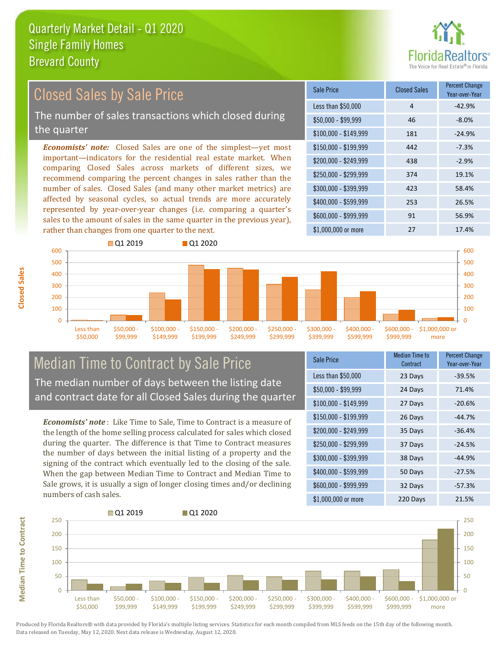

#### $$100,000 - $149,999$  181 -24.9% Sale Price Closed Sales Percent Change Year-over-Year Less than \$50,000  $\overline{4}$  and  $\overline{4}$  -42.9%  $$50.000 - $99.999$  46 -8.0%  $$150.000 - $199.999$  442 -7.3% \$200,000 - \$249,999 438 -2.9% \$400,000 - \$599,999 253 26.5% \$600,000 - \$999,999 91 56.9% *Economists' note:* Closed Sales are one of the simplest—yet most important—indicators for the residential real estate market. When comparing Closed Sales across markets of different sizes, we recommend comparing the percent changes in sales rather than the number of sales. Closed Sales (and many other market metrics) are affected by seasonal cycles, so actual trends are more accurately represented by year-over-year changes (i.e. comparing a quarter's sales to the amount of sales in the same quarter in the previous year), rather than changes from one quarter to the next. \$1,000,000 or more 27 27 17.4% \$250,000 - \$299,999 374 19.1% \$300,000 - \$399,999 423 58.4% Closed Sales by Sale Price The number of sales transactions which closed during the quarter



### Median Time to Contract by Sale Price The median number of days between the listing date and contract date for all Closed Sales during the quarter

*Economists' note* : Like Time to Sale, Time to Contract is a measure of the length of the home selling process calculated for sales which closed during the quarter. The difference is that Time to Contract measures the number of days between the initial listing of a property and the signing of the contract which eventually led to the closing of the sale. When the gap between Median Time to Contract and Median Time to Sale grows, it is usually a sign of longer closing times and/or declining numbers of cash sales.

| <b>Sale Price</b>     | <b>Median Time to</b><br>Contract | <b>Percent Change</b><br>Year-over-Year |
|-----------------------|-----------------------------------|-----------------------------------------|
| Less than \$50,000    | 23 Days                           | $-39.5%$                                |
| $$50,000 - $99,999$   | 24 Days                           | 71.4%                                   |
| $$100,000 - $149,999$ | 27 Days                           | $-20.6%$                                |
| $$150,000 - $199,999$ | 26 Days                           | $-44.7%$                                |
| \$200,000 - \$249,999 | 35 Days                           | $-36.4%$                                |
| \$250,000 - \$299,999 | 37 Days                           | $-24.5%$                                |
| \$300,000 - \$399,999 | 38 Days                           | $-44.9%$                                |
| \$400,000 - \$599,999 | 50 Days                           | $-27.5%$                                |
| \$600,000 - \$999,999 | 32 Days                           | $-57.3%$                                |
| \$1,000,000 or more   | 220 Days                          | 21.5%                                   |



**Closed Sales**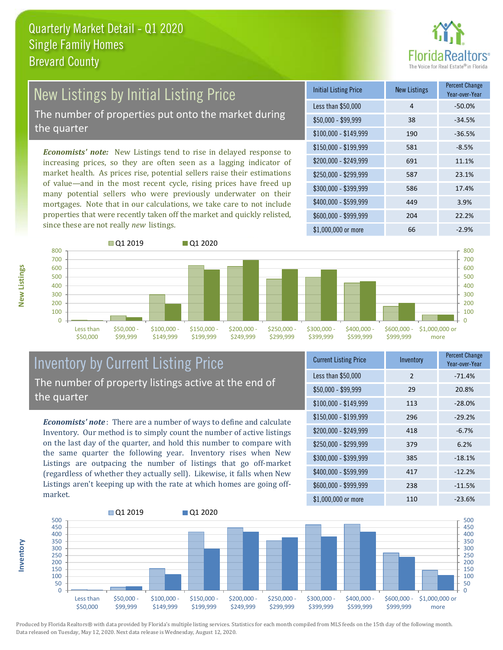

# New Listings by Initial Listing Price

The number of properties put onto the market during the quarter

*Economists' note:* New Listings tend to rise in delayed response to increasing prices, so they are often seen as a lagging indicator of market health. As prices rise, potential sellers raise their estimations of value—and in the most recent cycle, rising prices have freed up many potential sellers who were previously underwater on their mortgages. Note that in our calculations, we take care to not include properties that were recently taken off the market and quickly relisted, since these are not really *new* listings.





#### Inventory by Current Listing Price The number of property listings active at the end of the quarter

*Economists' note* : There are a number of ways to define and calculate Inventory. Our method is to simply count the number of active listings on the last day of the quarter, and hold this number to compare with the same quarter the following year. Inventory rises when New Listings are outpacing the number of listings that go off-market (regardless of whether they actually sell). Likewise, it falls when New Listings aren't keeping up with the rate at which homes are going offmarket.

| <b>Current Listing Price</b> | Inventory     | <b>Percent Change</b><br>Year-over-Year |
|------------------------------|---------------|-----------------------------------------|
| Less than \$50,000           | $\mathcal{P}$ | $-71.4%$                                |
| $$50,000 - $99,999$          | 29            | 20.8%                                   |
| $$100,000 - $149,999$        | 113           | $-28.0%$                                |
| $$150,000 - $199,999$        | 296           | $-29.2%$                                |
| \$200,000 - \$249,999        | 418           | $-6.7%$                                 |
| \$250,000 - \$299,999        | 379           | 6.2%                                    |
| \$300,000 - \$399,999        | 385           | $-18.1%$                                |
| \$400,000 - \$599,999        | 417           | $-12.2%$                                |
| \$600,000 - \$999,999        | 238           | $-11.5%$                                |
| \$1,000,000 or more          | 110           | $-23.6%$                                |



**New Listings**

**Inventory**